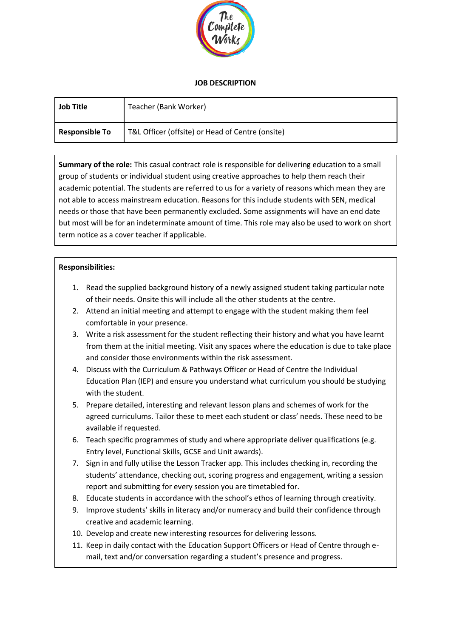

## **JOB DESCRIPTION**

| <b>Job Title</b>      | Teacher (Bank Worker)                            |
|-----------------------|--------------------------------------------------|
| <b>Responsible To</b> | T&L Officer (offsite) or Head of Centre (onsite) |

**Summary of the role:** This casual contract role is responsible for delivering education to a small group of students or individual student using creative approaches to help them reach their academic potential. The students are referred to us for a variety of reasons which mean they are not able to access mainstream education. Reasons for this include students with SEN, medical needs or those that have been permanently excluded. Some assignments will have an end date but most will be for an indeterminate amount of time. This role may also be used to work on short term notice as a cover teacher if applicable.

#### **Responsibilities:**

- 1. Read the supplied background history of a newly assigned student taking particular note of their needs. Onsite this will include all the other students at the centre.
- 2. Attend an initial meeting and attempt to engage with the student making them feel comfortable in your presence.
- 3. Write a risk assessment for the student reflecting their history and what you have learnt from them at the initial meeting. Visit any spaces where the education is due to take place and consider those environments within the risk assessment.
- 4. Discuss with the Curriculum & Pathways Officer or Head of Centre the Individual Education Plan (IEP) and ensure you understand what curriculum you should be studying with the student.
- 5. Prepare detailed, interesting and relevant lesson plans and schemes of work for the agreed curriculums. Tailor these to meet each student or class' needs. These need to be available if requested.
- 6. Teach specific programmes of study and where appropriate deliver qualifications (e.g. Entry level, Functional Skills, GCSE and Unit awards).
- 7. Sign in and fully utilise the Lesson Tracker app. This includes checking in, recording the students' attendance, checking out, scoring progress and engagement, writing a session report and submitting for every session you are timetabled for.
- 8. Educate students in accordance with the school's ethos of learning through creativity.
- 9. Improve students' skills in literacy and/or numeracy and build their confidence through creative and academic learning.
- 10. Develop and create new interesting resources for delivering lessons.
- 11. Keep in daily contact with the Education Support Officers or Head of Centre through email, text and/or conversation regarding a student's presence and progress.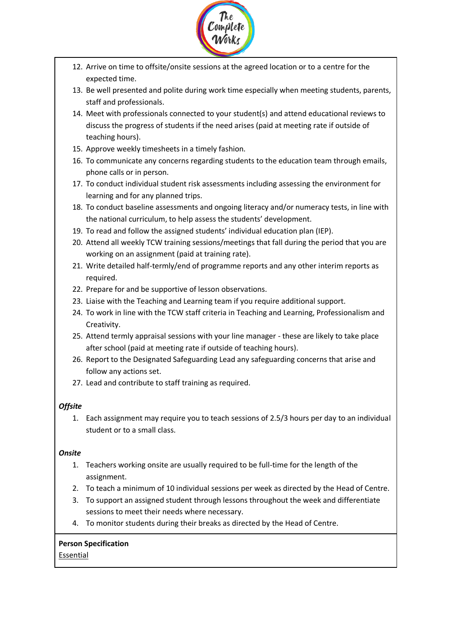

- 12. Arrive on time to offsite/onsite sessions at the agreed location or to a centre for the expected time.
- 13. Be well presented and polite during work time especially when meeting students, parents, staff and professionals.
- 14. Meet with professionals connected to your student(s) and attend educational reviews to discuss the progress of students if the need arises (paid at meeting rate if outside of teaching hours).
- 15. Approve weekly timesheets in a timely fashion.
- 16. To communicate any concerns regarding students to the education team through emails, phone calls or in person.
- 17. To conduct individual student risk assessments including assessing the environment for learning and for any planned trips.
- 18. To conduct baseline assessments and ongoing literacy and/or numeracy tests, in line with the national curriculum, to help assess the students' development.
- 19. To read and follow the assigned students' individual education plan (IEP).
- 20. Attend all weekly TCW training sessions/meetings that fall during the period that you are working on an assignment (paid at training rate).
- 21. Write detailed half-termly/end of programme reports and any other interim reports as required.
- 22. Prepare for and be supportive of lesson observations.
- 23. Liaise with the Teaching and Learning team if you require additional support.
- 24. To work in line with the TCW staff criteria in Teaching and Learning, Professionalism and Creativity.
- 25. Attend termly appraisal sessions with your line manager these are likely to take place after school (paid at meeting rate if outside of teaching hours).
- 26. Report to the Designated Safeguarding Lead any safeguarding concerns that arise and follow any actions set.
- 27. Lead and contribute to staff training as required.

# *Offsite*

1. Each assignment may require you to teach sessions of 2.5/3 hours per day to an individual student or to a small class.

## *Onsite*

- 1. Teachers working onsite are usually required to be full-time for the length of the assignment.
- 2. To teach a minimum of 10 individual sessions per week as directed by the Head of Centre.
- 3. To support an assigned student through lessons throughout the week and differentiate sessions to meet their needs where necessary.
- 4. To monitor students during their breaks as directed by the Head of Centre.

## **Person Specification**

Essential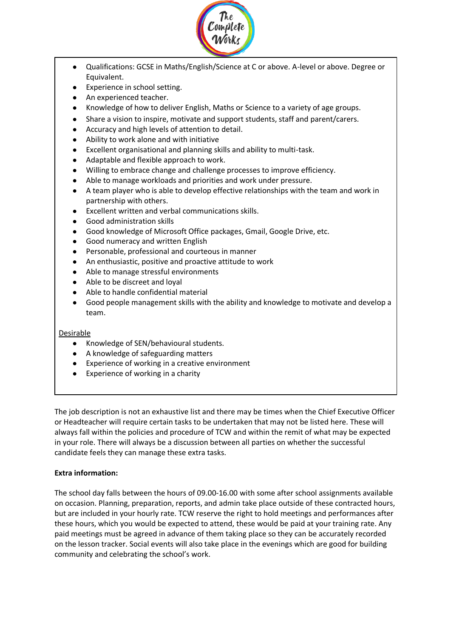

- Qualifications: GCSE in Maths/English/Science at C or above. A-level or above. Degree or Equivalent.
- Experience in school setting.
- An experienced teacher.
- Knowledge of how to deliver English, Maths or Science to a variety of age groups.
- Share a vision to inspire, motivate and support students, staff and parent/carers.
- Accuracy and high levels of attention to detail.
- Ability to work alone and with initiative
- Excellent organisational and planning skills and ability to multi-task.
- Adaptable and flexible approach to work.
- Willing to embrace change and challenge processes to improve efficiency.
- Able to manage workloads and priorities and work under pressure.
- A team player who is able to develop effective relationships with the team and work in partnership with others.
- **Excellent written and verbal communications skills.**
- Good administration skills
- Good knowledge of Microsoft Office packages, Gmail, Google Drive, etc.
- Good numeracy and written English
- Personable, professional and courteous in manner
- An enthusiastic, positive and proactive attitude to work
- Able to manage stressful environments
- Able to be discreet and loyal
- Able to handle confidential material
- Good people management skills with the ability and knowledge to motivate and develop a team.

#### **Desirable**

- Knowledge of SEN/behavioural students.
- A knowledge of safeguarding matters
- Experience of working in a creative environment
- Experience of working in a charity

The job description is not an exhaustive list and there may be times when the Chief Executive Officer or Headteacher will require certain tasks to be undertaken that may not be listed here. These will always fall within the policies and procedure of TCW and within the remit of what may be expected in your role. There will always be a discussion between all parties on whether the successful candidate feels they can manage these extra tasks.

## **Extra information:**

The school day falls between the hours of 09.00-16.00 with some after school assignments available on occasion. Planning, preparation, reports, and admin take place outside of these contracted hours, but are included in your hourly rate. TCW reserve the right to hold meetings and performances after these hours, which you would be expected to attend, these would be paid at your training rate. Any paid meetings must be agreed in advance of them taking place so they can be accurately recorded on the lesson tracker. Social events will also take place in the evenings which are good for building community and celebrating the school's work.